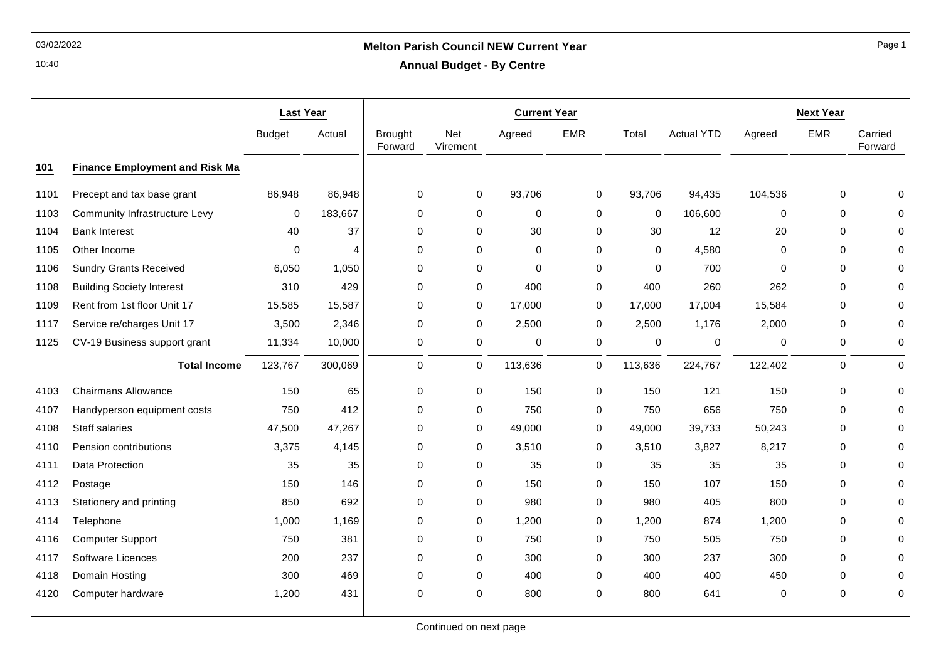10:40

# 03/02/2022 **Melton Parish Council NEW Current Year**

**Annual Budget - By Centre**

|      |                                       | <b>Last Year</b> |                        | <b>Current Year</b>       |                 |             |             |             |                   | <b>Next Year</b> |             |                     |  |
|------|---------------------------------------|------------------|------------------------|---------------------------|-----------------|-------------|-------------|-------------|-------------------|------------------|-------------|---------------------|--|
|      |                                       | <b>Budget</b>    | Actual                 | <b>Brought</b><br>Forward | Net<br>Virement | Agreed      | <b>EMR</b>  | Total       | <b>Actual YTD</b> | Agreed           | <b>EMR</b>  | Carried<br>Forward  |  |
| 101  | <b>Finance Employment and Risk Ma</b> |                  |                        |                           |                 |             |             |             |                   |                  |             |                     |  |
| 1101 | Precept and tax base grant            | 86,948           | 86,948                 | $\mathbf 0$               | $\mathbf 0$     | 93,706      | 0           | 93,706      | 94,435            | 104,536          | $\mathbf 0$ | $\Omega$            |  |
| 1103 | Community Infrastructure Levy         | 0                | 183,667                | $\pmb{0}$                 | 0               | $\mathbf 0$ | 0           | 0           | 106,600           | 0                | $\mathbf 0$ | $\Omega$            |  |
| 1104 | <b>Bank Interest</b>                  | 40               | 37                     | $\pmb{0}$                 | 0               | 30          | 0           | 30          | 12                | 20               | $\mathbf 0$ | $\Omega$            |  |
| 1105 | Other Income                          | $\Omega$         | $\boldsymbol{\Lambda}$ | $\mathbf 0$               | $\Omega$        | $\mathbf 0$ | $\Omega$    | $\Omega$    | 4,580             | $\Omega$         | $\mathbf 0$ | $\Omega$            |  |
| 1106 | <b>Sundry Grants Received</b>         | 6,050            | 1,050                  | $\mathbf 0$               | $\mathbf 0$     | $\mathbf 0$ | 0           | $\mathbf 0$ | 700               | $\mathbf 0$      | $\mathbf 0$ | $\Omega$            |  |
| 1108 | <b>Building Society Interest</b>      | 310              | 429                    | 0                         | 0               | 400         | 0           | 400         | 260               | 262              | $\mathbf 0$ | $\Omega$            |  |
| 1109 | Rent from 1st floor Unit 17           | 15,585           | 15,587                 | $\mathbf 0$               | 0               | 17,000      | 0           | 17,000      | 17,004            | 15,584           | $\mathbf 0$ | $\Omega$            |  |
| 1117 | Service re/charges Unit 17            | 3,500            | 2,346                  | $\mathbf 0$               | 0               | 2,500       | 0           | 2,500       | 1,176             | 2,000            | $\mathbf 0$ | $\Omega$            |  |
| 1125 | CV-19 Business support grant          | 11,334           | 10,000                 | 0                         | 0               | $\mathbf 0$ | 0           | $\mathbf 0$ | 0                 | 0                | $\mathbf 0$ | 0                   |  |
|      | <b>Total Income</b>                   | 123,767          | 300,069                | $\mathbf 0$               | 0               | 113,636     | 0           | 113,636     | 224,767           | 122,402          | $\mathbf 0$ | $\mathsf{O}\xspace$ |  |
| 4103 | <b>Chairmans Allowance</b>            | 150              | 65                     | 0                         | 0               | 150         | $\mathbf 0$ | 150         | 121               | 150              | $\mathbf 0$ | $\Omega$            |  |
| 4107 | Handyperson equipment costs           | 750              | 412                    | $\mathbf 0$               | 0               | 750         | 0           | 750         | 656               | 750              | $\mathbf 0$ | $\Omega$            |  |
| 4108 | Staff salaries                        | 47,500           | 47,267                 | $\mathbf 0$               | $\mathbf 0$     | 49,000      | 0           | 49,000      | 39,733            | 50,243           | $\Omega$    | $\Omega$            |  |
| 4110 | Pension contributions                 | 3,375            | 4,145                  | $\mathbf 0$               | 0               | 3,510       | 0           | 3,510       | 3,827             | 8,217            | $\mathbf 0$ | $\Omega$            |  |
| 4111 | Data Protection                       | 35               | 35                     | $\pmb{0}$                 | 0               | 35          | 0           | 35          | 35                | 35               | $\mathbf 0$ | $\Omega$            |  |
| 4112 | Postage                               | 150              | 146                    | $\mathbf 0$               | $\mathbf 0$     | 150         | 0           | 150         | 107               | 150              | $\mathbf 0$ | $\Omega$            |  |
| 4113 | Stationery and printing               | 850              | 692                    | $\mathbf 0$               | 0               | 980         | 0           | 980         | 405               | 800              | $\mathbf 0$ | $\Omega$            |  |
| 4114 | Telephone                             | 1,000            | 1,169                  | 0                         | 0               | 1,200       | 0           | 1,200       | 874               | 1,200            | $\mathbf 0$ | $\Omega$            |  |
| 4116 | <b>Computer Support</b>               | 750              | 381                    | $\mathbf 0$               | 0               | 750         | 0           | 750         | 505               | 750              | $\mathbf 0$ | $\Omega$            |  |
| 4117 | <b>Software Licences</b>              | 200              | 237                    | $\mathbf 0$               | 0               | 300         | 0           | 300         | 237               | 300              | $\mathbf 0$ | $\Omega$            |  |
| 4118 | Domain Hosting                        | 300              | 469                    | 0                         | 0               | 400         | 0           | 400         | 400               | 450              | $\mathbf 0$ | $\Omega$            |  |
| 4120 | Computer hardware                     | 1,200            | 431                    | $\Omega$                  | 0               | 800         | $\Omega$    | 800         | 641               | $\Omega$         | $\Omega$    | $\mathbf 0$         |  |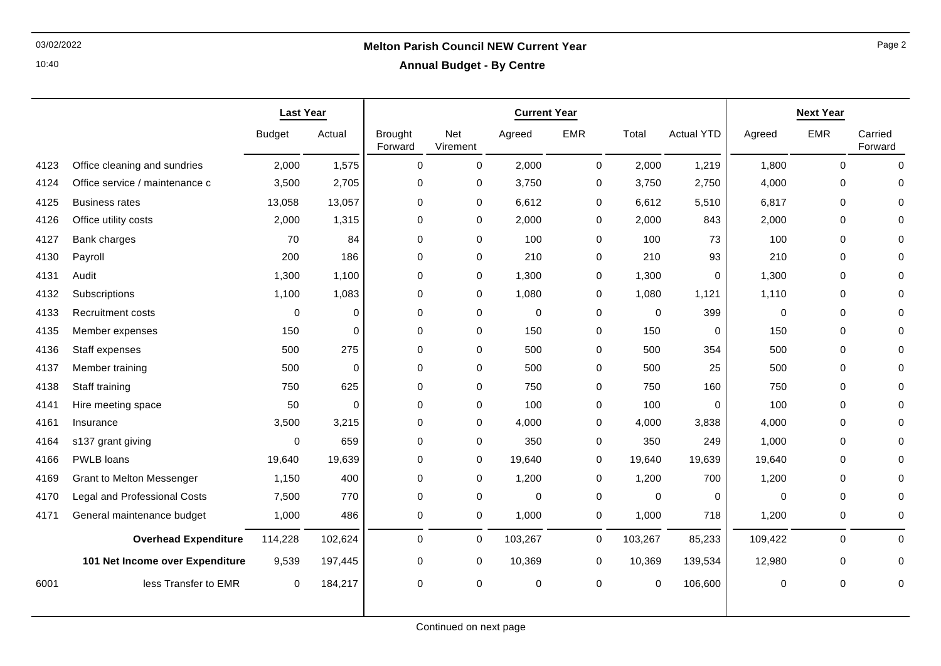### 10:40

# 03/02/2022 **Melton Parish Council NEW Current Year**

**Annual Budget - By Centre**

|      |                                     | <b>Last Year</b> |             | <b>Current Year</b>       |                 |         |             |             |                   | <b>Next Year</b> |             |                    |  |
|------|-------------------------------------|------------------|-------------|---------------------------|-----------------|---------|-------------|-------------|-------------------|------------------|-------------|--------------------|--|
|      |                                     | <b>Budget</b>    | Actual      | <b>Brought</b><br>Forward | Net<br>Virement | Agreed  | EMR         | Total       | <b>Actual YTD</b> | Agreed           | <b>EMR</b>  | Carried<br>Forward |  |
| 4123 | Office cleaning and sundries        | 2,000            | 1,575       | $\Omega$                  | $\mathbf 0$     | 2,000   | $\mathbf 0$ | 2,000       | 1,219             | 1,800            | $\Omega$    | $\Omega$           |  |
| 4124 | Office service / maintenance c      | 3,500            | 2,705       | $\mathbf 0$               | 0               | 3,750   | 0           | 3,750       | 2,750             | 4,000            | 0           | $\Omega$           |  |
| 4125 | <b>Business rates</b>               | 13,058           | 13,057      | $\mathbf 0$               | $\mathbf 0$     | 6,612   | $\mathbf 0$ | 6,612       | 5,510             | 6,817            | $\Omega$    |                    |  |
| 4126 | Office utility costs                | 2,000            | 1,315       | $\Omega$                  | $\mathbf 0$     | 2,000   | 0           | 2,000       | 843               | 2,000            | $\Omega$    |                    |  |
| 4127 | Bank charges                        | 70               | 84          | $\mathbf 0$               | 0               | 100     | 0           | 100         | 73                | 100              | 0           |                    |  |
| 4130 | Payroll                             | 200              | 186         | $\mathbf 0$               | 0               | 210     | 0           | 210         | 93                | 210              | 0           |                    |  |
| 4131 | Audit                               | 1,300            | 1,100       | $\mathbf 0$               | 0               | 1,300   | 0           | 1,300       | $\mathbf 0$       | 1,300            | 0           | $\Omega$           |  |
| 4132 | Subscriptions                       | 1,100            | 1,083       | $\mathbf 0$               | 0               | 1,080   | 0           | 1,080       | 1,121             | 1,110            | 0           |                    |  |
| 4133 | <b>Recruitment costs</b>            | $\mathbf 0$      | $\mathbf 0$ | $\mathbf 0$               | 0               | 0       | 0           | 0           | 399               | $\mathbf 0$      | 0           |                    |  |
| 4135 | Member expenses                     | 150              | $\Omega$    | $\mathbf 0$               | 0               | 150     | 0           | 150         | 0                 | 150              | $\mathbf 0$ | $\Omega$           |  |
| 4136 | Staff expenses                      | 500              | 275         | $\mathbf 0$               | 0               | 500     | 0           | 500         | 354               | 500              | $\mathbf 0$ | $\Omega$           |  |
| 4137 | Member training                     | 500              | $\Omega$    | $\mathbf 0$               | 0               | 500     | 0           | 500         | 25                | 500              | 0           |                    |  |
| 4138 | Staff training                      | 750              | 625         | $\mathbf 0$               | $\mathbf 0$     | 750     | $\mathbf 0$ | 750         | 160               | 750              | $\mathbf 0$ | $\Omega$           |  |
| 4141 | Hire meeting space                  | 50               | $\Omega$    | $\mathbf 0$               | 0               | 100     | 0           | 100         | $\Omega$          | 100              | $\mathbf 0$ | $\Omega$           |  |
| 4161 | Insurance                           | 3,500            | 3,215       | $\mathbf 0$               | 0               | 4,000   | 0           | 4,000       | 3,838             | 4,000            | $\mathbf 0$ |                    |  |
| 4164 | s137 grant giving                   | $\mathbf 0$      | 659         | $\mathbf 0$               | 0               | 350     | 0           | 350         | 249               | 1,000            | 0           |                    |  |
| 4166 | PWLB loans                          | 19,640           | 19,639      | $\mathbf 0$               | 0               | 19,640  | 0           | 19,640      | 19,639            | 19,640           | 0           | U                  |  |
| 4169 | <b>Grant to Melton Messenger</b>    | 1,150            | 400         | $\mathbf 0$               | 0               | 1,200   | 0           | 1,200       | 700               | 1,200            | 0           | U                  |  |
| 4170 | <b>Legal and Professional Costs</b> | 7,500            | 770         | $\mathbf 0$               | 0               | 0       | 0           | 0           | 0                 | $\mathbf 0$      | 0           | 0                  |  |
| 4171 | General maintenance budget          | 1,000            | 486         | $\mathbf 0$               | 0               | 1,000   | 0           | 1,000       | 718               | 1,200            | 0           | 0                  |  |
|      | <b>Overhead Expenditure</b>         | 114,228          | 102,624     | $\mathbf 0$               | $\mathbf 0$     | 103,267 | 0           | 103,267     | 85,233            | 109,422          | 0           | $\Omega$           |  |
|      | 101 Net Income over Expenditure     | 9,539            | 197,445     | 0                         | 0               | 10,369  | 0           | 10,369      | 139,534           | 12,980           | 0           | $\Omega$           |  |
| 6001 | less Transfer to EMR                | $\mathbf 0$      | 184,217     | $\mathbf 0$               | $\pmb{0}$       | 0       | $\mathbf 0$ | $\mathbf 0$ | 106,600           | 0                | 0           | 0                  |  |
|      |                                     |                  |             |                           |                 |         |             |             |                   |                  |             |                    |  |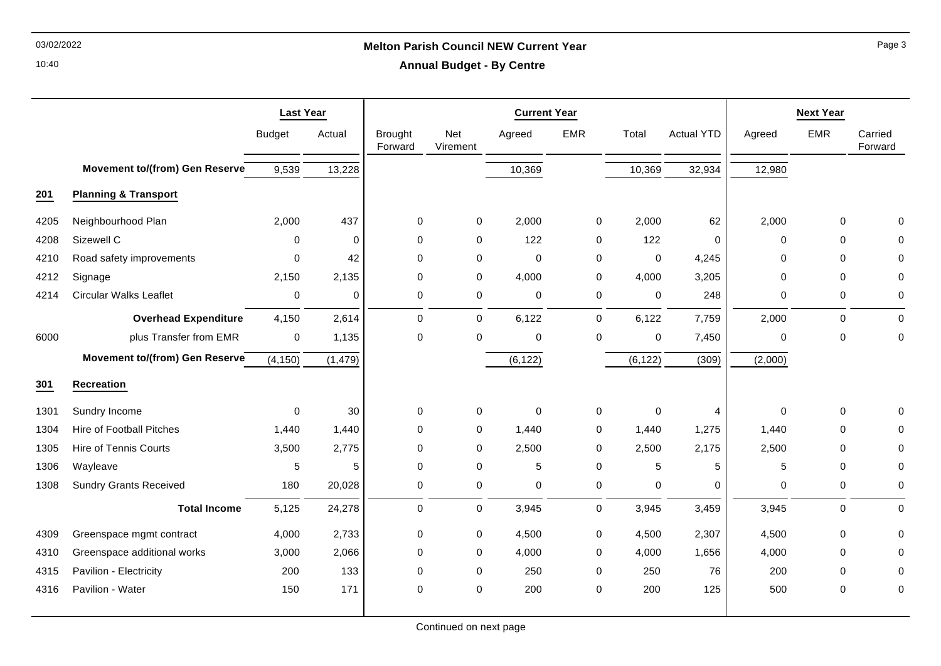## 03/02/2022 **Melton Parish Council NEW Current Year**

10:40

|  |  | <b>Annual Budget - By Centre</b> |
|--|--|----------------------------------|
|--|--|----------------------------------|

|      |                                       | <b>Last Year</b> |             | <b>Current Year</b>       |                 |              |            |             |                   | <b>Next Year</b> |             |                    |  |
|------|---------------------------------------|------------------|-------------|---------------------------|-----------------|--------------|------------|-------------|-------------------|------------------|-------------|--------------------|--|
|      |                                       | <b>Budget</b>    | Actual      | <b>Brought</b><br>Forward | Net<br>Virement | Agreed       | <b>EMR</b> | Total       | <b>Actual YTD</b> | Agreed           | <b>EMR</b>  | Carried<br>Forward |  |
|      | <b>Movement to/(from) Gen Reserve</b> | 9,539            | 13,228      |                           |                 | 10,369       |            | 10,369      | 32,934            | 12,980           |             |                    |  |
| 201  | <b>Planning &amp; Transport</b>       |                  |             |                           |                 |              |            |             |                   |                  |             |                    |  |
| 4205 | Neighbourhood Plan                    | 2,000            | 437         | 0                         | 0               | 2,000        | 0          | 2,000       | 62                | 2,000            | 0           | $\mathbf 0$        |  |
| 4208 | Sizewell C                            | 0                | $\mathbf 0$ | 0                         | $\mathbf 0$     | 122          | 0          | 122         | $\mathbf 0$       | $\Omega$         | $\mathbf 0$ | 0                  |  |
| 4210 | Road safety improvements              | 0                | 42          | $\Omega$                  | 0               | $\mathbf 0$  | 0          | $\mathbf 0$ | 4,245             | 0                | 0           | 0                  |  |
| 4212 | Signage                               | 2,150            | 2,135       | $\Omega$                  | $\mathbf 0$     | 4,000        | 0          | 4,000       | 3,205             | $\Omega$         | $\Omega$    | $\mathbf 0$        |  |
| 4214 | <b>Circular Walks Leaflet</b>         | $\pmb{0}$        | $\mathbf 0$ | 0                         | 0               | $\mathbf 0$  | $\pmb{0}$  | $\pmb{0}$   | 248               | 0                | 0           | $\mathbf 0$        |  |
|      | <b>Overhead Expenditure</b>           | 4,150            | 2,614       | $\mathbf 0$               | $\mathbf 0$     | 6,122        | 0          | 6,122       | 7,759             | 2,000            | $\mathbf 0$ | $\mathbf 0$        |  |
| 6000 | plus Transfer from EMR                | $\mathbf 0$      | 1,135       | $\mathbf 0$               | $\mathbf 0$     | $\mathbf 0$  | 0          | $\mathbf 0$ | 7,450             | 0                | $\Omega$    | $\mathbf 0$        |  |
|      | Movement to/(from) Gen Reserve        | (4, 150)         | (1, 479)    |                           |                 | (6, 122)     |            | (6, 122)    | (309)             | (2,000)          |             |                    |  |
| 301  | <b>Recreation</b>                     |                  |             |                           |                 |              |            |             |                   |                  |             |                    |  |
| 1301 | Sundry Income                         | $\mathbf 0$      | 30          | $\mathbf 0$               | 0               | $\mathbf{0}$ | 0          | $\mathbf 0$ | $\overline{4}$    | $\mathbf{0}$     | $\mathbf 0$ | $\mathbf{0}$       |  |
| 1304 | <b>Hire of Football Pitches</b>       | 1,440            | 1,440       | $\Omega$                  | $\mathbf 0$     | 1,440        | 0          | 1,440       | 1,275             | 1,440            | $\Omega$    | 0                  |  |
| 1305 | <b>Hire of Tennis Courts</b>          | 3,500            | 2,775       | 0                         | 0               | 2,500        | $\pmb{0}$  | 2,500       | 2,175             | 2,500            | 0           | $\mathbf 0$        |  |
| 1306 | Wayleave                              | $\mathbf 5$      | 5           | $\mathbf 0$               | 0               | 5            | $\pmb{0}$  | 5           | 5                 | 5                | $\mathbf 0$ | $\mathbf 0$        |  |
| 1308 | <b>Sundry Grants Received</b>         | 180              | 20,028      | 0                         | 0               | 0            | $\pmb{0}$  | 0           | 0                 | 0                | 0           | 0                  |  |
|      | <b>Total Income</b>                   | 5,125            | 24,278      | 0                         | 0               | 3,945        | 0          | 3,945       | 3,459             | 3,945            | $\mathbf 0$ | $\mathbf 0$        |  |
| 4309 | Greenspace mgmt contract              | 4,000            | 2,733       | 0                         | 0               | 4,500        | 0          | 4,500       | 2,307             | 4,500            | $\mathbf 0$ | 0                  |  |
| 4310 | Greenspace additional works           | 3,000            | 2,066       | 0                         | 0               | 4,000        | 0          | 4,000       | 1,656             | 4,000            | $\mathbf 0$ | 0                  |  |
| 4315 | Pavilion - Electricity                | 200              | 133         | 0                         | 0               | 250          | $\pmb{0}$  | 250         | 76                | 200              | $\Omega$    | 0                  |  |
| 4316 | Pavilion - Water                      | 150              | 171         | $\mathbf 0$               | 0               | 200          | 0          | 200         | 125               | 500              | $\mathbf 0$ | $\mathbf 0$        |  |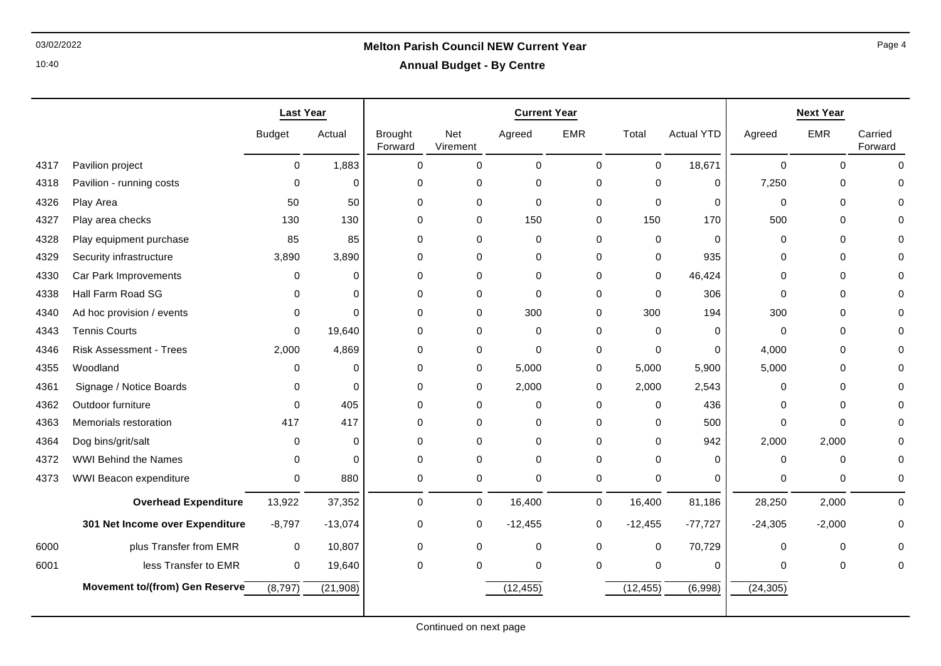### 10:40

## 03/02/2022 **Melton Parish Council NEW Current Year**

**Annual Budget - By Centre**

|      |                                 | <b>Last Year</b> |           | <b>Current Year</b>       |                        |             |             |                  | <b>Next Year</b>  |             |            |                    |
|------|---------------------------------|------------------|-----------|---------------------------|------------------------|-------------|-------------|------------------|-------------------|-------------|------------|--------------------|
|      |                                 | <b>Budget</b>    | Actual    | <b>Brought</b><br>Forward | <b>Net</b><br>Virement | Agreed      | <b>EMR</b>  | Total            | <b>Actual YTD</b> | Agreed      | <b>EMR</b> | Carried<br>Forward |
| 4317 | Pavilion project                | $\mathbf 0$      | 1,883     | $\mathbf 0$               | 0                      | 0           | $\mathbf 0$ | $\mathbf 0$      | 18,671            | $\mathbf 0$ | $\Omega$   | $\mathbf 0$        |
| 4318 | Pavilion - running costs        | $\Omega$         | 0         | 0                         | 0                      | 0           | $\mathbf 0$ | $\mathbf 0$      | 0                 | 7,250       | 0          | $\mathbf 0$        |
| 4326 | Play Area                       | 50               | 50        | 0                         | 0                      | 0           | 0           | $\mathbf 0$      | 0                 | $\mathbf 0$ | $\Omega$   | 0                  |
| 4327 | Play area checks                | 130              | 130       | 0                         | 0                      | 150         | 0           | 150              | 170               | 500         | $\Omega$   | 0                  |
| 4328 | Play equipment purchase         | 85               | 85        | 0                         | 0                      | 0           | 0           | 0                | 0                 | $\Omega$    | $\Omega$   | 0                  |
| 4329 | Security infrastructure         | 3,890            | 3,890     | 0                         | 0                      | 0           | $\mathbf 0$ | 0                | 935               | $\Omega$    | 0          | 0                  |
| 4330 | Car Park Improvements           | 0                | $\Omega$  | 0                         | 0                      | 0           | $\Omega$    | $\mathbf 0$      | 46,424            | $\Omega$    | $\Omega$   | $\Omega$           |
| 4338 | Hall Farm Road SG               | $\Omega$         | $\Omega$  | 0                         | 0                      | $\mathbf 0$ | 0           | $\mathbf 0$      | 306               | $\Omega$    | $\Omega$   | $\Omega$           |
| 4340 | Ad hoc provision / events       | 0                | $\Omega$  | 0                         | 0                      | 300         | $\mathbf 0$ | 300              | 194               | 300         | $\Omega$   | $\Omega$           |
| 4343 | <b>Tennis Courts</b>            | $\Omega$         | 19,640    | 0                         | 0                      | 0           | 0           | 0                | 0                 | $\Omega$    | $\Omega$   | 0                  |
| 4346 | <b>Risk Assessment - Trees</b>  | 2,000            | 4,869     | 0                         | 0                      | 0           | 0           | $\mathbf 0$      | 0                 | 4,000       | 0          | 0                  |
| 4355 | Woodland                        | 0                | $\Omega$  | 0                         | 0                      | 5,000       | 0           | 5,000            | 5,900             | 5,000       | $\Omega$   | 0                  |
| 4361 | Signage / Notice Boards         | 0                | $\Omega$  | 0                         | 0                      | 2,000       | $\mathbf 0$ | 2,000            | 2,543             | $\Omega$    | $\Omega$   | $\mathbf 0$        |
| 4362 | Outdoor furniture               | $\Omega$         | 405       | 0                         | 0                      | 0           | 0           | 0                | 436               | $\Omega$    | 0          | 0                  |
| 4363 | Memorials restoration           | 417              | 417       | 0                         | 0                      | 0           | 0           | 0                | 500               | $\Omega$    | $\Omega$   | 0                  |
| 4364 | Dog bins/grit/salt              | 0                | $\Omega$  | 0                         | 0                      | 0           | $\mathbf 0$ | $\mathbf 0$      | 942               | 2,000       | 2,000      | $\Omega$           |
| 4372 | <b>WWI Behind the Names</b>     | 0                | $\Omega$  | 0                         | 0                      | $\mathbf 0$ | $\mathbf 0$ | $\mathbf 0$      | 0                 | 0           | $\Omega$   | 0                  |
| 4373 | WWI Beacon expenditure          | $\mathbf 0$      | 880       | 0                         | 0                      | $\mathbf 0$ | 0           | $\mathbf 0$      | 0                 | 0           | 0          | $\mathbf 0$        |
|      | <b>Overhead Expenditure</b>     | 13,922           | 37,352    | 0                         | 0                      | 16,400      | $\mathbf 0$ | 16,400           | 81,186            | 28,250      | 2,000      | $\mathbf 0$        |
|      | 301 Net Income over Expenditure | $-8,797$         | $-13,074$ | 0                         | 0                      | $-12,455$   | 0           | $-12,455$        | $-77,727$         | $-24,305$   | $-2,000$   | $\mathbf 0$        |
| 6000 | plus Transfer from EMR          | $\mathbf 0$      | 10,807    | 0                         | 0                      | $\mathbf 0$ | $\mathbf 0$ | $\boldsymbol{0}$ | 70,729            | $\Omega$    | $\Omega$   | 0                  |
| 6001 | less Transfer to EMR            | $\pmb{0}$        | 19,640    | 0                         | 0                      | 0           | $\mathbf 0$ | $\mathbf 0$      | 0                 | $\Omega$    | $\Omega$   | 0                  |
|      | Movement to/(from) Gen Reserve  | (8,797)          | (21,908)  |                           |                        | (12, 455)   |             | (12, 455)        | (6,998)           | (24, 305)   |            |                    |
|      |                                 |                  |           |                           |                        |             |             |                  |                   |             |            |                    |